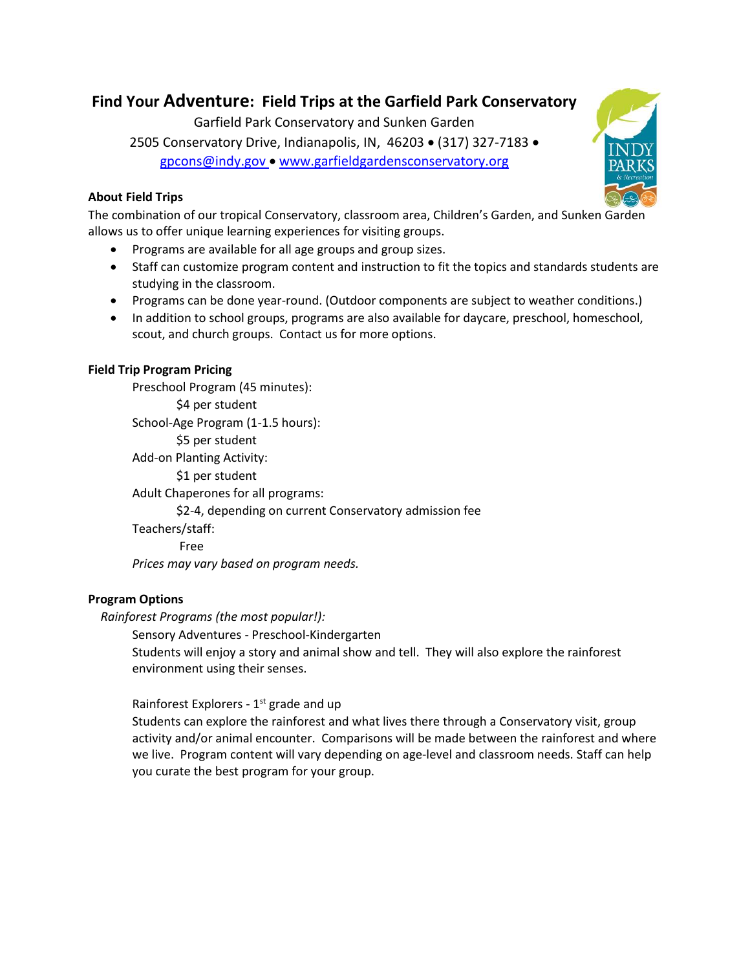# **Find Your Adventure: Field Trips at the Garfield Park Conservatory**

Garfield Park Conservatory and Sunken Garden 2505 Conservatory Drive, Indianapolis, IN, 46203 • (317) 327-7183 • [gpcons@indy.gov](mailto:gpcons@indy.gov) • [www.garfieldgardensconservatory.org](http://www.garfieldgardensconservatory.org/)

# **About Field Trips**



The combination of our tropical Conservatory, classroom area, Children's Garden, and Sunken Garden allows us to offer unique learning experiences for visiting groups.

- Programs are available for all age groups and group sizes.
- Staff can customize program content and instruction to fit the topics and standards students are studying in the classroom.
- Programs can be done year-round. (Outdoor components are subject to weather conditions.)
- In addition to school groups, programs are also available for daycare, preschool, homeschool, scout, and church groups. Contact us for more options.

# **Field Trip Program Pricing**

Preschool Program (45 minutes): \$4 per student School-Age Program (1-1.5 hours): \$5 per student Add-on Planting Activity: \$1 per student Adult Chaperones for all programs: \$2-4, depending on current Conservatory admission fee Teachers/staff: Free *Prices may vary based on program needs.*

# **Program Options**

 *Rainforest Programs (the most popular!):* 

Sensory Adventures - Preschool-Kindergarten Students will enjoy a story and animal show and tell. They will also explore the rainforest environment using their senses.

# Rainforest Explorers - 1<sup>st</sup> grade and up

Students can explore the rainforest and what lives there through a Conservatory visit, group activity and/or animal encounter. Comparisons will be made between the rainforest and where we live. Program content will vary depending on age-level and classroom needs. Staff can help you curate the best program for your group.